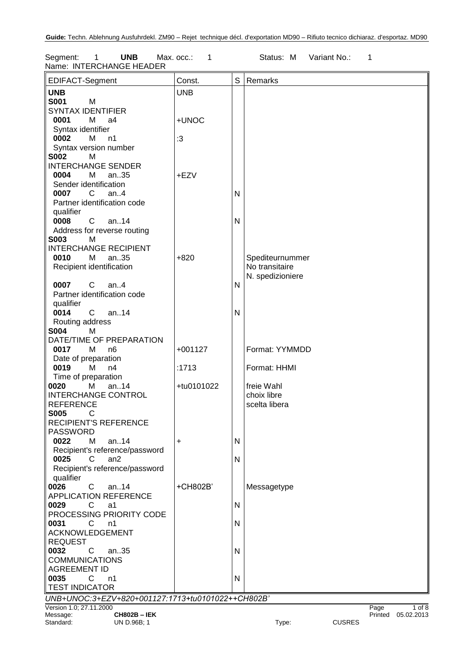Segment: 1 **UNB** Max. occ.: 1 Status: M Variant No.: 1 Name: INTERCHANGE HEADER

| EDIFACT-Segment                                   | Const.     | S            | Remarks          |               |      |                    |
|---------------------------------------------------|------------|--------------|------------------|---------------|------|--------------------|
| <b>UNB</b>                                        | <b>UNB</b> |              |                  |               |      |                    |
| <b>S001</b><br>M                                  |            |              |                  |               |      |                    |
| <b>SYNTAX IDENTIFIER</b>                          |            |              |                  |               |      |                    |
| 0001<br>M<br>a4                                   | +UNOC      |              |                  |               |      |                    |
| Syntax identifier                                 |            |              |                  |               |      |                    |
| 0002<br>М<br>n1                                   | $\cdot 3$  |              |                  |               |      |                    |
|                                                   |            |              |                  |               |      |                    |
| Syntax version number<br><b>S002</b><br>м         |            |              |                  |               |      |                    |
|                                                   |            |              |                  |               |      |                    |
| <b>INTERCHANGE SENDER</b>                         |            |              |                  |               |      |                    |
| 0004<br>M<br>an35                                 | +EZV       |              |                  |               |      |                    |
| Sender identification                             |            |              |                  |               |      |                    |
| 0007<br>C<br>an. $4$                              |            | N            |                  |               |      |                    |
| Partner identification code                       |            |              |                  |               |      |                    |
| qualifier                                         |            |              |                  |               |      |                    |
| 0008<br>$\mathbf{C}$<br>an14                      |            | $\mathsf{N}$ |                  |               |      |                    |
| Address for reverse routing                       |            |              |                  |               |      |                    |
| <b>S003</b><br>M                                  |            |              |                  |               |      |                    |
| <b>INTERCHANGE RECIPIENT</b>                      |            |              |                  |               |      |                    |
| 0010<br>М<br>an35                                 | $+820$     |              | Spediteurnummer  |               |      |                    |
| Recipient identification                          |            |              | No transitaire   |               |      |                    |
|                                                   |            |              | N. spedizioniere |               |      |                    |
| $C$ an4<br>0007                                   |            | N            |                  |               |      |                    |
| Partner identification code                       |            |              |                  |               |      |                    |
| qualifier                                         |            |              |                  |               |      |                    |
| $C$ an14<br>0014                                  |            | N            |                  |               |      |                    |
| Routing address                                   |            |              |                  |               |      |                    |
| <b>S004</b><br>М                                  |            |              |                  |               |      |                    |
| DATE/TIME OF PREPARATION                          |            |              |                  |               |      |                    |
|                                                   | $+001127$  |              | Format: YYMMDD   |               |      |                    |
| 0017<br>M<br>n <sub>6</sub>                       |            |              |                  |               |      |                    |
| Date of preparation                               |            |              |                  |               |      |                    |
| 0019<br>М<br>n4                                   | :1713      |              | Format: HHMI     |               |      |                    |
| Time of preparation                               |            |              |                  |               |      |                    |
| an14<br>0020<br>М                                 | +tu0101022 |              | freie Wahl       |               |      |                    |
| <b>INTERCHANGE CONTROL</b>                        |            |              | choix libre      |               |      |                    |
| <b>REFERENCE</b>                                  |            |              | scelta libera    |               |      |                    |
| <b>S005</b><br>C                                  |            |              |                  |               |      |                    |
| <b>RECIPIENT'S REFERENCE</b>                      |            |              |                  |               |      |                    |
| <b>PASSWORD</b>                                   |            |              |                  |               |      |                    |
| 0022<br>М<br>an14                                 | +          | N            |                  |               |      |                    |
| Recipient's reference/password                    |            |              |                  |               |      |                    |
| 0025<br>C<br>an2                                  |            | N            |                  |               |      |                    |
| Recipient's reference/password                    |            |              |                  |               |      |                    |
| qualifier                                         |            |              |                  |               |      |                    |
| 0026<br>C<br>an $.14$                             | +CH802B'   |              | Messagetype      |               |      |                    |
| <b>APPLICATION REFERENCE</b>                      |            |              |                  |               |      |                    |
| 0029<br>C<br>a1                                   |            | N            |                  |               |      |                    |
| PROCESSING PRIORITY CODE                          |            |              |                  |               |      |                    |
| 0031<br>C<br>n1                                   |            | N            |                  |               |      |                    |
| <b>ACKNOWLEDGEMENT</b>                            |            |              |                  |               |      |                    |
|                                                   |            |              |                  |               |      |                    |
| <b>REQUEST</b>                                    |            |              |                  |               |      |                    |
| 0032<br>C<br>an35                                 |            | $\mathsf{N}$ |                  |               |      |                    |
| <b>COMMUNICATIONS</b>                             |            |              |                  |               |      |                    |
| <b>AGREEMENT ID</b>                               |            |              |                  |               |      |                    |
| 0035<br>C.<br>n1                                  |            | N            |                  |               |      |                    |
| <b>TEST INDICATOR</b>                             |            |              |                  |               |      |                    |
| UNB+UNOC:3+EZV+820+001127:1713+tu0101022++CH802B' |            |              |                  |               |      |                    |
| Version 1.0; 27.11.2000                           |            |              |                  |               | Page | $1$ of $8$         |
| Message:<br><b>CH802B - IEK</b>                   |            |              |                  |               |      | Printed 05.02.2013 |
| Standard:<br>UN D.96B; 1                          |            |              | Type:            | <b>CUSRES</b> |      |                    |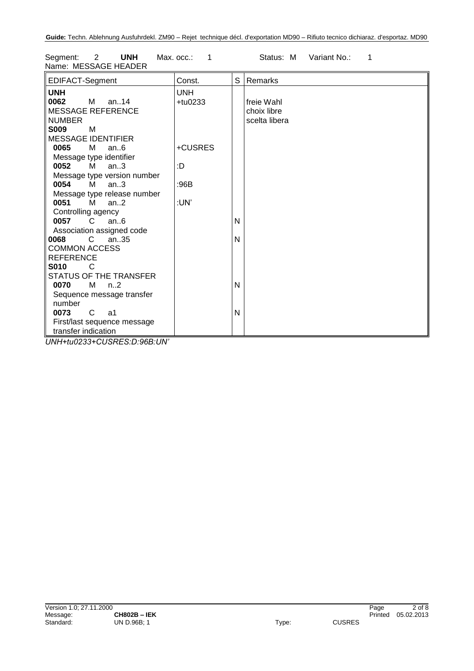| Segment: Z<br>UNH<br>Name: MESSAGE HEADER  | Max. occ.: |   | Status: M<br>variant No.: |
|--------------------------------------------|------------|---|---------------------------|
| EDIFACT-Segment                            | Const.     |   | S Remarks                 |
| <b>UNH</b>                                 | <b>UNH</b> |   |                           |
| 0062<br>M<br>an14                          | $+$ tu0233 |   | freie Wahl                |
| <b>MESSAGE REFERENCE</b>                   |            |   | choix libre               |
| <b>NUMBER</b>                              |            |   | scelta libera             |
| <b>S009</b><br>м                           |            |   |                           |
| <b>MESSAGE IDENTIFIER</b>                  |            |   |                           |
| 0065<br>М<br>an.6                          | +CUSRES    |   |                           |
| Message type identifier                    |            |   |                           |
| 0052<br>М<br>an.3                          | :D         |   |                           |
| Message type version number                |            |   |                           |
| 0054<br>M<br>an.3                          | :96B       |   |                           |
| Message type release number                |            |   |                           |
| 0051<br>M<br>an.2                          | :UN'       |   |                           |
| Controlling agency                         |            |   |                           |
| $\overline{C}$<br>an.6<br>0057             |            | N |                           |
| Association assigned code                  |            |   |                           |
| 0068<br>$\mathcal{C}$<br>an.35             |            | N |                           |
| <b>COMMON ACCESS</b>                       |            |   |                           |
| <b>REFERENCE</b>                           |            |   |                           |
| <b>S010</b><br>C                           |            |   |                           |
| STATUS OF THE TRANSFER                     |            |   |                           |
| 0070<br>M <sub>1</sub><br>n <sub>1</sub> 2 |            | N |                           |
| Sequence message transfer                  |            |   |                           |
| number                                     |            |   |                           |
| 0073<br>C<br>a1                            |            | N |                           |
| First/last sequence message                |            |   |                           |
| transfer indication                        |            |   |                           |

Segment: 2 **UNH** Max. occ.: 1 Status: M Variant No.: 1

*UNH+tu0233+CUSRES:D:96B:UN'*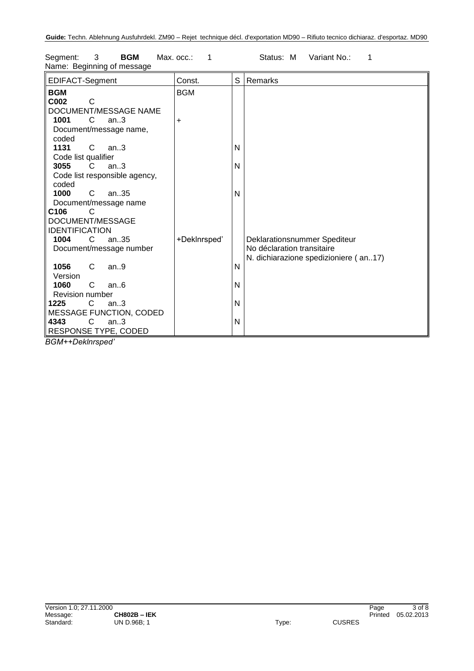| EDIFACT-Segment                                                      | Const.       | S | Remarks                                                                                             |
|----------------------------------------------------------------------|--------------|---|-----------------------------------------------------------------------------------------------------|
| <b>BGM</b><br>C002<br>$\mathsf{C}$                                   | <b>BGM</b>   |   |                                                                                                     |
| DOCUMENT/MESSAGE NAME<br>1001<br>C<br>an.3<br>Document/message name, | $\ddot{}$    |   |                                                                                                     |
| coded<br>1131<br>$\mathsf{C}$<br>an.3<br>Code list qualifier         |              | N |                                                                                                     |
| 3055<br>an.3<br>C.<br>Code list responsible agency,<br>coded         |              | N |                                                                                                     |
| 1000<br>C<br>an35<br>Document/message name                           |              | N |                                                                                                     |
| C <sub>106</sub><br>C<br>DOCUMENT/MESSAGE<br><b>IDENTIFICATION</b>   |              |   |                                                                                                     |
| C.<br>an $.35$<br>1004<br>Document/message number                    | +DekInrsped' |   | Deklarationsnummer Spediteur<br>No déclaration transitaire<br>N. dichiarazione spedizioniere (an17) |
| 1056<br>C<br>an.9<br>Version                                         |              | N |                                                                                                     |
| 1060<br>C.<br>an.6<br>Revision number                                |              | N |                                                                                                     |
| 1225<br>$\mathsf{C}$<br>an.3<br><b>MESSAGE FUNCTION, CODED</b>       |              | N |                                                                                                     |
| $\mathsf{C}$<br>4343<br>an.3<br>RESPONSE TYPE, CODED                 |              | N |                                                                                                     |

Segment: 3 **BGM** Max. occ.: 1 Status: M Variant No.: 1 Name: Beginning of message

*BGM++Deklnrsped'*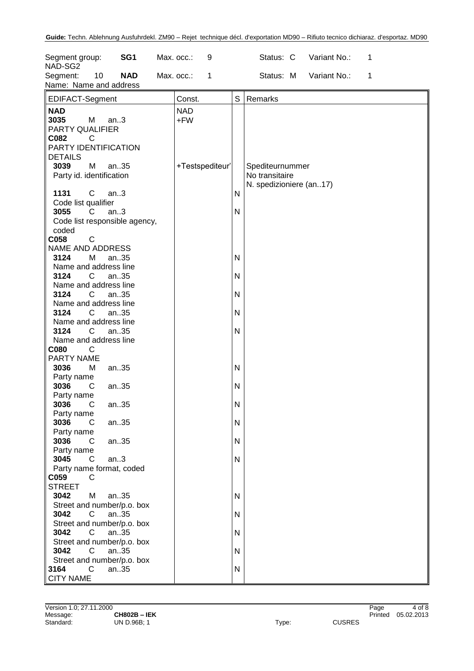| Segment group:<br>NAD-SG2                                             |                              | SG <sub>1</sub>                            | Max. occ.:        | 9               |        | Status: C                         | Variant No.: | 1 |  |
|-----------------------------------------------------------------------|------------------------------|--------------------------------------------|-------------------|-----------------|--------|-----------------------------------|--------------|---|--|
| Segment:<br>Name: Name and address                                    | 10                           | <b>NAD</b>                                 | Max. occ.:        | 1               |        | Status: M                         | Variant No.: | 1 |  |
| EDIFACT-Segment                                                       |                              |                                            | Const.            |                 | S      | Remarks                           |              |   |  |
| <b>NAD</b><br>3035<br>PARTY QUALIFIER<br>C082<br>PARTY IDENTIFICATION | M<br>C                       | an.3                                       | <b>NAD</b><br>+FW |                 |        |                                   |              |   |  |
| <b>DETAILS</b><br>3039                                                | M                            | an35                                       |                   | +Testspediteur' |        | Spediteurnummer<br>No transitaire |              |   |  |
| Party id. identification<br>1131                                      | $\mathsf{C}$                 | an.3                                       |                   |                 | Ν      | N. spedizioniere (an17)           |              |   |  |
| Code list qualifier<br>3055<br>coded                                  | C                            | an.3<br>Code list responsible agency,      |                   |                 | N      |                                   |              |   |  |
| C058<br>NAME AND ADDRESS<br>3124                                      | C<br>м                       | an35                                       |                   |                 | Ν      |                                   |              |   |  |
| Name and address line<br>3124<br>Name and address line                | C                            | an35                                       |                   |                 | N      |                                   |              |   |  |
| 3124<br>Name and address line                                         | C                            | an35                                       |                   |                 | N      |                                   |              |   |  |
| 3124<br>Name and address line<br>3124<br>Name and address line        | C<br>C                       | an35<br>an35                               |                   |                 | N<br>N |                                   |              |   |  |
| C080<br>PARTY NAME<br>3036                                            | С<br>M                       | an35                                       |                   |                 | Ν      |                                   |              |   |  |
| Party name<br>3036<br>Party name                                      | C                            | an35                                       |                   |                 | Ν      |                                   |              |   |  |
| 3036<br>Party name<br>3036                                            | C<br>C                       | an35<br>an35                               |                   |                 | N<br>N |                                   |              |   |  |
| Party name<br>3036<br>Party name                                      | C                            | an35                                       |                   |                 | N      |                                   |              |   |  |
| 3045<br>C059                                                          | C<br>C                       | an.3<br>Party name format, coded           |                   |                 | N      |                                   |              |   |  |
| <b>STREET</b><br>3042                                                 | M                            | an35<br>Street and number/p.o. box         |                   |                 | Ν      |                                   |              |   |  |
| 3042<br>3042                                                          | $\mathsf{C}$<br>$\mathsf{C}$ | an35<br>Street and number/p.o. box<br>an35 |                   |                 | N<br>N |                                   |              |   |  |
| 3042                                                                  | C                            | Street and number/p.o. box<br>an35         |                   |                 | N      |                                   |              |   |  |
| 3164<br><b>CITY NAME</b>                                              | $\mathsf{C}$                 | Street and number/p.o. box<br>an35         |                   |                 | N      |                                   |              |   |  |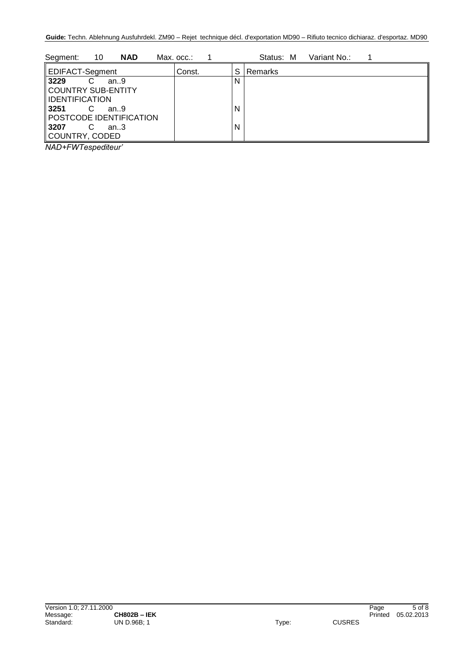| 10<br><b>NAD</b><br>Segment: | Max. occ.: |   | Status: M<br>Variant No.: |
|------------------------------|------------|---|---------------------------|
| EDIFACT-Segment              | Const.     | S | Remarks                   |
| 3229<br>an.9                 |            | N |                           |
| COUNTRY SUB-ENTITY           |            |   |                           |
| <b>IDENTIFICATION</b>        |            |   |                           |
| 3251<br>an.9                 |            | N |                           |
| POSTCODE IDENTIFICATION      |            |   |                           |
| <b>3207</b><br>С<br>an.3     |            | N |                           |
| COUNTRY, CODED               |            |   |                           |

*NAD+FWTespediteur'*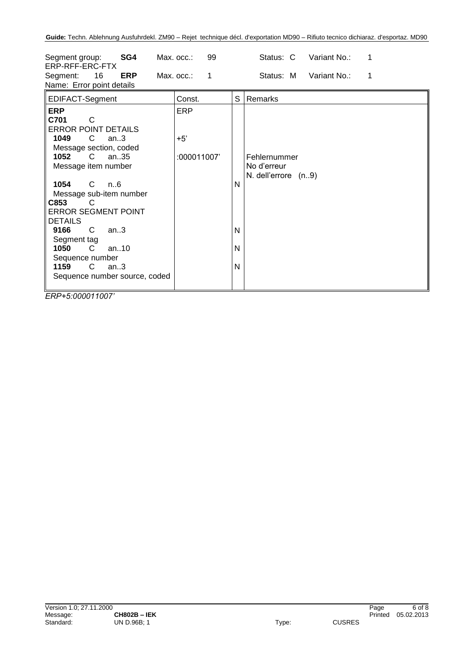| SG4<br>Segment group:<br>ERP-RFF-ERC-FTX<br>16<br><b>ERP</b><br>Segment:<br>Name: Error point details                                                                                                                                                                                                                                                                                                                                | Max. occ.:<br>99<br>Max. occ.:<br>$\mathbf 1$ | Status: C<br>Variant No.:<br>1<br>Status: M<br>Variant No.:<br>1       |
|--------------------------------------------------------------------------------------------------------------------------------------------------------------------------------------------------------------------------------------------------------------------------------------------------------------------------------------------------------------------------------------------------------------------------------------|-----------------------------------------------|------------------------------------------------------------------------|
| EDIFACT-Segment                                                                                                                                                                                                                                                                                                                                                                                                                      | Const.                                        | S<br>Remarks                                                           |
| <b>ERP</b><br>C701<br>C<br><b>ERROR POINT DETAILS</b><br>1049<br>$\mathbf C$<br>an.3<br>Message section, coded<br>1052<br>$\mathsf{C}$<br>an35<br>Message item number<br>1054<br>C.<br>n6<br>Message sub-item number<br>C853<br>C<br><b>ERROR SEGMENT POINT</b><br><b>DETAILS</b><br>9166<br>C.<br>an.3<br>Segment tag<br>$\mathsf{C}$<br>1050<br>an $.10$<br>Sequence number<br>1159<br>C.<br>an.3<br>Sequence number source, coded | <b>ERP</b><br>$+5'$<br>:000011007'            | Fehlernummer<br>No d'erreur<br>N. dell'errore (n9)<br>N<br>N<br>N<br>N |

*ERP+5:000011007'*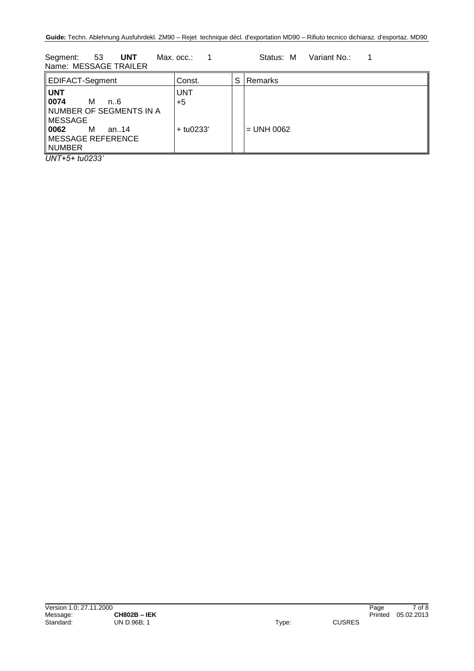Segment: 53 **UNT** Max. occ.: 1 Status: M Variant No.: 1 Name: MESSAGE TRAILER

| EDIFACT-Segment                                                                                                             | Const.                     | S | Remarks      |
|-----------------------------------------------------------------------------------------------------------------------------|----------------------------|---|--------------|
| <b>UNT</b><br>0074<br>м<br>n6<br>NUMBER OF SEGMENTS IN A<br>∥MESSAGE<br>   0062<br>M<br>an14<br>MESSAGE REFERENCE<br>NUMBER | UNT<br>$+5$<br>$+$ tu0233' |   | $=$ UNH 0062 |

*UNT+5+ tu0233'*